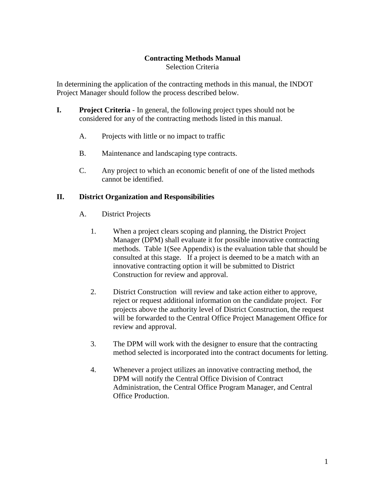## **Contracting Methods Manual**

Selection Criteria

In determining the application of the contracting methods in this manual, the INDOT Project Manager should follow the process described below.

- **I. Project Criteria**  In general, the following project types should not be considered for any of the contracting methods listed in this manual.
	- A. Projects with little or no impact to traffic
	- B. Maintenance and landscaping type contracts.
	- C. Any project to which an economic benefit of one of the listed methods cannot be identified.

#### **II. District Organization and Responsibilities**

- A. District Projects
	- 1. When a project clears scoping and planning, the District Project Manager (DPM) shall evaluate it for possible innovative contracting methods. Table 1(See Appendix) is the evaluation table that should be consulted at this stage. If a project is deemed to be a match with an innovative contracting option it will be submitted to District Construction for review and approval.
	- 2. District Construction will review and take action either to approve, reject or request additional information on the candidate project. For projects above the authority level of District Construction, the request will be forwarded to the Central Office Project Management Office for review and approval.
	- 3. The DPM will work with the designer to ensure that the contracting method selected is incorporated into the contract documents for letting.
	- 4. Whenever a project utilizes an innovative contracting method, the DPM will notify the Central Office Division of Contract Administration, the Central Office Program Manager, and Central Office Production.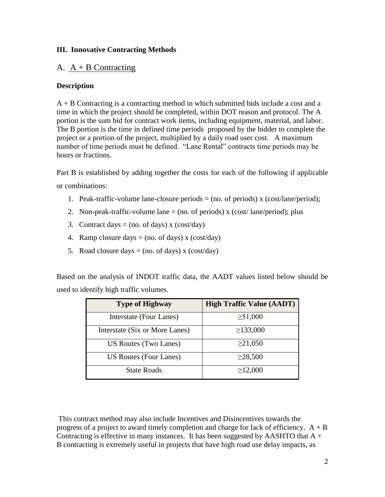### **III. Innovative Contracting Methods**

# A.  $A + B$  Contracting

## **Description**

A + B Contracting is a contracting method in which submitted bids include a cost and a time in which the project should be completed, within DOT reason and protocol. The A portion is the sum bid for contract work items, including equipment, material, and labor. The B portion is the time in defined time periods proposed by the bidder to complete the project or a portion of the project, multiplied by a daily road user cost. A maximum number of time periods must be defined. "Lane Rental" contracts time periods may be hours or fractions.

Part B is established by adding together the costs for each of the following if applicable or combinations:

- 1. Peak-traffic-volume lane-closure periods  $=$  (no. of periods) x (cost/lane/period);
- 2. Non-peak-traffic-volume lane  $=$  (no. of periods) x (cost/ lane/period); plus
- 3. Contract days = (no. of days) x (cost/day)
- 4. Ramp closure days  $=$  (no. of days) x (cost/day)
- 5. Road closure days  $=$  (no. of days) x (cost/day)

Based on the analysis of INDOT traffic data, the AADT values listed below should be used to identify high traffic volumes.

| <b>Type of Highway</b>         | <b>High Traffic Value (AADT)</b> |  |  |  |  |
|--------------------------------|----------------------------------|--|--|--|--|
| Interstate (Four Lanes)        | $\geq 51,000$                    |  |  |  |  |
| Interstate (Six or More Lanes) | $\geq$ 133,000                   |  |  |  |  |
| US Routes (Two Lanes)          | $\geq$ 21,050                    |  |  |  |  |
| US Routes (Four Lanes)         | $\geq$ 28,500                    |  |  |  |  |
| <b>State Roads</b>             | $\geq$ 12,000                    |  |  |  |  |

This contract method may also include Incentives and Disincentives towards the progress of a project to award timely completion and charge for lack of efficiency.  $A + B$ Contracting is effective in many instances. It has been suggested by AASHTO that  $A +$ B contracting is extremely useful in projects that have high road use delay impacts, as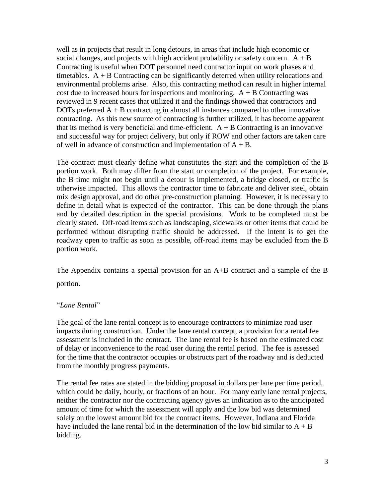well as in projects that result in long detours, in areas that include high economic or social changes, and projects with high accident probability or safety concern.  $A + B$ Contracting is useful when DOT personnel need contractor input on work phases and timetables.  $A + B$  Contracting can be significantly deterred when utility relocations and environmental problems arise. Also, this contracting method can result in higher internal cost due to increased hours for inspections and monitoring.  $A + B$  Contracting was reviewed in 9 recent cases that utilized it and the findings showed that contractors and DOTs preferred  $A + B$  contracting in almost all instances compared to other innovative contracting. As this new source of contracting is further utilized, it has become apparent that its method is very beneficial and time-efficient.  $A + B$  Contracting is an innovative and successful way for project delivery, but only if ROW and other factors are taken care of well in advance of construction and implementation of  $A + B$ .

The contract must clearly define what constitutes the start and the completion of the B portion work. Both may differ from the start or completion of the project. For example, the B time might not begin until a detour is implemented, a bridge closed, or traffic is otherwise impacted. This allows the contractor time to fabricate and deliver steel, obtain mix design approval, and do other pre-construction planning. However, it is necessary to define in detail what is expected of the contractor. This can be done through the plans and by detailed description in the special provisions. Work to be completed must be clearly stated. Off-road items such as landscaping, sidewalks or other items that could be performed without disrupting traffic should be addressed. If the intent is to get the roadway open to traffic as soon as possible, off-road items may be excluded from the B portion work.

The Appendix contains a special provision for an A+B contract and a sample of the B portion.

#### "*Lane Rental*"

The goal of the lane rental concept is to encourage contractors to minimize road user impacts during construction. Under the lane rental concept, a provision for a rental fee assessment is included in the contract. The lane rental fee is based on the estimated cost of delay or inconvenience to the road user during the rental period. The fee is assessed for the time that the contractor occupies or obstructs part of the roadway and is deducted from the monthly progress payments.

The rental fee rates are stated in the bidding proposal in dollars per lane per time period, which could be daily, hourly, or fractions of an hour. For many early lane rental projects, neither the contractor nor the contracting agency gives an indication as to the anticipated amount of time for which the assessment will apply and the low bid was determined solely on the lowest amount bid for the contract items. However, Indiana and Florida have included the lane rental bid in the determination of the low bid similar to  $A + B$ bidding.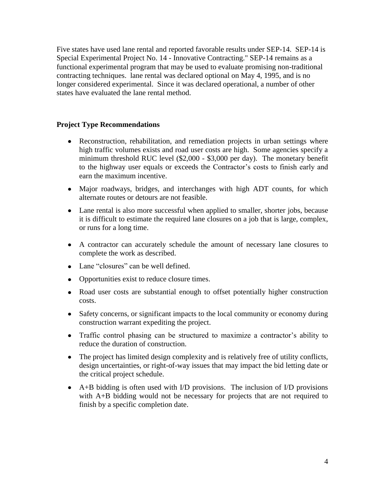Five states have used lane rental and reported favorable results under SEP-14. SEP-14 is Special Experimental Project No. 14 - Innovative Contracting." SEP-14 remains as a functional experimental program that may be used to evaluate promising non-traditional contracting techniques. lane rental was declared optional on May 4, 1995, and is no longer considered experimental. Since it was declared operational, a number of other states have evaluated the lane rental method.

#### **Project Type Recommendations**

- Reconstruction, rehabilitation, and remediation projects in urban settings where high traffic volumes exists and road user costs are high. Some agencies specify a minimum threshold RUC level (\$2,000 - \$3,000 per day). The monetary benefit to the highway user equals or exceeds the Contractor's costs to finish early and earn the maximum incentive.
- Major roadways, bridges, and interchanges with high ADT counts, for which alternate routes or detours are not feasible.
- Lane rental is also more successful when applied to smaller, shorter jobs, because it is difficult to estimate the required lane closures on a job that is large, complex, or runs for a long time.
- A contractor can accurately schedule the amount of necessary lane closures to complete the work as described.
- Lane "closures" can be well defined.
- Opportunities exist to reduce closure times.
- Road user costs are substantial enough to offset potentially higher construction costs.
- Safety concerns, or significant impacts to the local community or economy during construction warrant expediting the project.
- Traffic control phasing can be structured to maximize a contractor's ability to reduce the duration of construction.
- The project has limited design complexity and is relatively free of utility conflicts, design uncertainties, or right-of-way issues that may impact the bid letting date or the critical project schedule.
- A+B bidding is often used with I/D provisions. The inclusion of I/D provisions with A+B bidding would not be necessary for projects that are not required to finish by a specific completion date.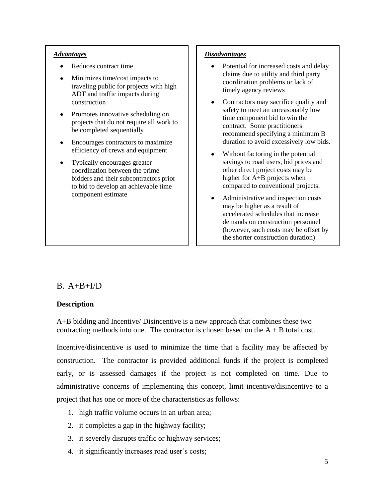- Reduces contract time
- Minimizes time/cost impacts to traveling public for projects with high ADT and traffic impacts during construction
- Promotes innovative scheduling on projects that do not require all work to be completed sequentially
- Encourages contractors to maximize efficiency of crews and equipment
- $\bullet$ Typically encourages greater coordination between the prime bidders and their subcontractors prior to bid to develop an achievable time component estimate

#### *Advantages Disadvantages*

- $\bullet$ Potential for increased costs and delay claims due to utility and third party coordination problems or lack of timely agency reviews
- $\bullet$ Contractors may sacrifice quality and safety to meet an unreasonably low time component bid to win the contract. Some practitioners recommend specifying a minimum B duration to avoid excessively low bids.
- Without factoring in the potential savings to road users, bid prices and other direct project costs may be higher for A+B projects when compared to conventional projects.
- Administrative and inspection costs may be higher as a result of accelerated schedules that increase demands on construction personnel (however, such costs may be offset by the shorter construction duration)

# B. A+B+I/D

### **Description**

A+B bidding and Incentive/ Disincentive is a new approach that combines these two contracting methods into one. The contractor is chosen based on the  $A + B$  total cost.

Incentive/disincentive is used to minimize the time that a facility may be affected by construction. The contractor is provided additional funds if the project is completed early, or is assessed damages if the project is not completed on time. Due to administrative concerns of implementing this concept, limit incentive/disincentive to a project that has one or more of the characteristics as follows:

- 1. high traffic volume occurs in an urban area;
- 2. it completes a gap in the highway facility;
- 3. it severely disrupts traffic or highway services;
- 4. it significantly increases road user's costs;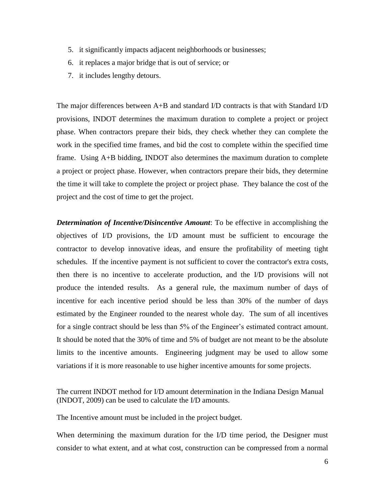- 5. it significantly impacts adjacent neighborhoods or businesses;
- 6. it replaces a major bridge that is out of service; or
- 7. it includes lengthy detours.

The major differences between A+B and standard I/D contracts is that with Standard I/D provisions, INDOT determines the maximum duration to complete a project or project phase. When contractors prepare their bids, they check whether they can complete the work in the specified time frames, and bid the cost to complete within the specified time frame. Using A+B bidding, INDOT also determines the maximum duration to complete a project or project phase. However, when contractors prepare their bids, they determine the time it will take to complete the project or project phase. They balance the cost of the project and the cost of time to get the project.

*Determination of Incentive/Disincentive Amount*: To be effective in accomplishing the objectives of I/D provisions, the I/D amount must be sufficient to encourage the contractor to develop innovative ideas, and ensure the profitability of meeting tight schedules. If the incentive payment is not sufficient to cover the contractor's extra costs, then there is no incentive to accelerate production, and the I/D provisions will not produce the intended results. As a general rule, the maximum number of days of incentive for each incentive period should be less than 30% of the number of days estimated by the Engineer rounded to the nearest whole day. The sum of all incentives for a single contract should be less than 5% of the Engineer's estimated contract amount. It should be noted that the 30% of time and 5% of budget are not meant to be the absolute limits to the incentive amounts. Engineering judgment may be used to allow some variations if it is more reasonable to use higher incentive amounts for some projects.

The current INDOT method for I/D amount determination in the Indiana Design Manual (INDOT, 2009) can be used to calculate the I/D amounts.

The Incentive amount must be included in the project budget.

When determining the maximum duration for the I/D time period, the Designer must consider to what extent, and at what cost, construction can be compressed from a normal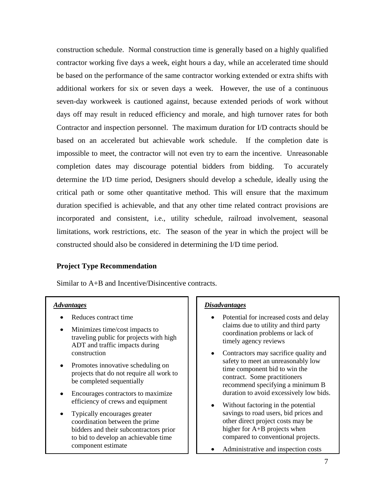construction schedule. Normal construction time is generally based on a highly qualified contractor working five days a week, eight hours a day, while an accelerated time should be based on the performance of the same contractor working extended or extra shifts with additional workers for six or seven days a week. However, the use of a continuous seven-day workweek is cautioned against, because extended periods of work without days off may result in reduced efficiency and morale, and high turnover rates for both Contractor and inspection personnel. The maximum duration for I/D contracts should be based on an accelerated but achievable work schedule. If the completion date is impossible to meet, the contractor will not even try to earn the incentive. Unreasonable completion dates may discourage potential bidders from bidding. To accurately determine the I/D time period, Designers should develop a schedule, ideally using the critical path or some other quantitative method. This will ensure that the maximum duration specified is achievable, and that any other time related contract provisions are incorporated and consistent, i.e., utility schedule, railroad involvement, seasonal limitations, work restrictions, etc. The season of the year in which the project will be constructed should also be considered in determining the I/D time period.

### **Project Type Recommendation**

Similar to A+B and Incentive/Disincentive contracts.

- Reduces contract time
- Minimizes time/cost impacts to traveling public for projects with high ADT and traffic impacts during construction
- Promotes innovative scheduling on projects that do not require all work to be completed sequentially
- Encourages contractors to maximize  $\bullet$ efficiency of crews and equipment
- $\bullet$ Typically encourages greater coordination between the prime bidders and their subcontractors prior to bid to develop an achievable time component estimate

#### *Advantages Disadvantages*

- Potential for increased costs and delay  $\bullet$ claims due to utility and third party coordination problems or lack of timely agency reviews
- $\bullet$ Contractors may sacrifice quality and safety to meet an unreasonably low time component bid to win the contract. Some practitioners recommend specifying a minimum B duration to avoid excessively low bids.
- Without factoring in the potential savings to road users, bid prices and other direct project costs may be higher for A+B projects when compared to conventional projects.
- Administrative and inspection costs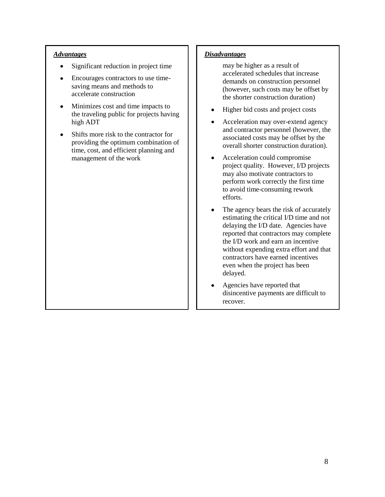- Significant reduction in project time  $\bullet$
- Encourages contractors to use time- $\bullet$ saving means and methods to accelerate construction
- $\bullet$ Minimizes cost and time impacts to the traveling public for projects having high ADT
- Shifts more risk to the contractor for  $\bullet$ providing the optimum combination of time, cost, and efficient planning and management of the work

#### *Advantages Disadvantages*

may be higher as a result of accelerated schedules that increase demands on construction personnel (however, such costs may be offset by the shorter construction duration)

- Higher bid costs and project costs  $\bullet$
- Acceleration may over-extend agency  $\bullet$ and contractor personnel (however, the associated costs may be offset by the overall shorter construction duration).
- $\bullet$ Acceleration could compromise project quality. However, I/D projects may also motivate contractors to perform work correctly the first time to avoid time-consuming rework efforts.
- $\bullet$ The agency bears the risk of accurately estimating the critical I/D time and not delaying the I/D date. Agencies have reported that contractors may complete the I/D work and earn an incentive without expending extra effort and that contractors have earned incentives even when the project has been delayed.
- Agencies have reported that  $\bullet$ disincentive payments are difficult to recover.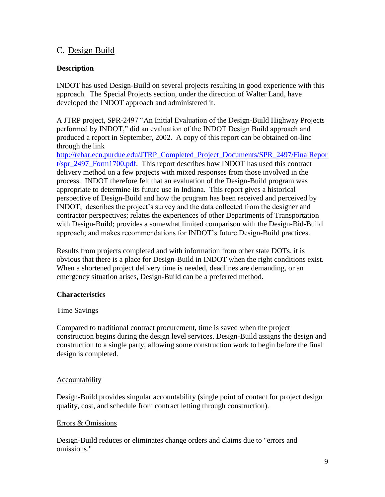# C. Design Build

## **Description**

INDOT has used Design-Build on several projects resulting in good experience with this approach. The Special Projects section, under the direction of Walter Land, have developed the INDOT approach and administered it.

A JTRP project, SPR-2497 "An Initial Evaluation of the Design-Build Highway Projects performed by INDOT," did an evaluation of the INDOT Design Build approach and produced a report in September, 2002. A copy of this report can be obtained on-line through the link

[http://rebar.ecn.purdue.edu/JTRP\\_Completed\\_Project\\_Documents/SPR\\_2497/FinalRepor](http://rebar.ecn.purdue.edu/JTRP_Completed_Project_Documents/SPR_2497/FinalReport/spr_2497_Form1700.pdf) [t/spr\\_2497\\_Form1700.pdf.](http://rebar.ecn.purdue.edu/JTRP_Completed_Project_Documents/SPR_2497/FinalReport/spr_2497_Form1700.pdf) This report describes how INDOT has used this contract delivery method on a few projects with mixed responses from those involved in the process. INDOT therefore felt that an evaluation of the Design-Build program was appropriate to determine its future use in Indiana. This report gives a historical perspective of Design-Build and how the program has been received and perceived by INDOT; describes the project's survey and the data collected from the designer and contractor perspectives; relates the experiences of other Departments of Transportation with Design-Build; provides a somewhat limited comparison with the Design-Bid-Build approach; and makes recommendations for INDOT's future Design-Build practices.

Results from projects completed and with information from other state DOTs, it is obvious that there is a place for Design-Build in INDOT when the right conditions exist. When a shortened project delivery time is needed, deadlines are demanding, or an emergency situation arises, Design-Build can be a preferred method.

### **Characteristics**

### Time Savings

Compared to traditional contract procurement, time is saved when the project construction begins during the design level services. Design-Build assigns the design and construction to a single party, allowing some construction work to begin before the final design is completed.

#### Accountability

Design-Build provides singular accountability (single point of contact for project design quality, cost, and schedule from contract letting through construction).

### Errors & Omissions

Design-Build reduces or eliminates change orders and claims due to "errors and omissions."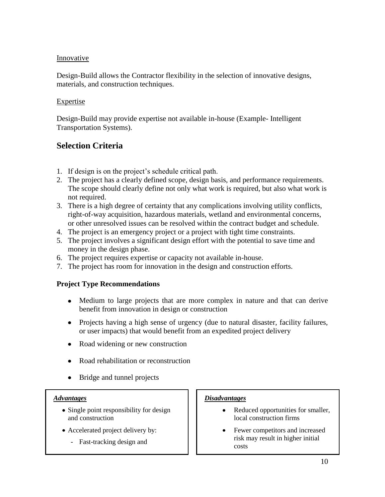### Innovative

Design-Build allows the Contractor flexibility in the selection of innovative designs, materials, and construction techniques.

### Expertise

Design-Build may provide expertise not available in-house (Example- Intelligent Transportation Systems).

# **Selection Criteria**

- 1. If design is on the project's schedule critical path.
- 2. The project has a clearly defined scope, design basis, and performance requirements. The scope should clearly define not only what work is required, but also what work is not required.
- 3. There is a high degree of certainty that any complications involving utility conflicts, right-of-way acquisition, hazardous materials, wetland and environmental concerns, or other unresolved issues can be resolved within the contract budget and schedule.
- 4. The project is an emergency project or a project with tight time constraints.
- 5. The project involves a significant design effort with the potential to save time and money in the design phase.
- 6. The project requires expertise or capacity not available in-house.
- 7. The project has room for innovation in the design and construction efforts.

## **Project Type Recommendations**

- Medium to large projects that are more complex in nature and that can derive benefit from innovation in design or construction
- Projects having a high sense of urgency (due to natural disaster, facility failures, or user impacts) that would benefit from an expedited project delivery
- Road widening or new construction
- Road rehabilitation or reconstruction  $\bullet$
- Bridge and tunnel projects

- Single point responsibility for design and construction
- Accelerated project delivery by:
	- Fast-tracking design and

### *Advantages Disadvantages*

- Reduced opportunities for smaller,  $\bullet$ local construction firms
- Fewer competitors and increased risk may result in higher initial costs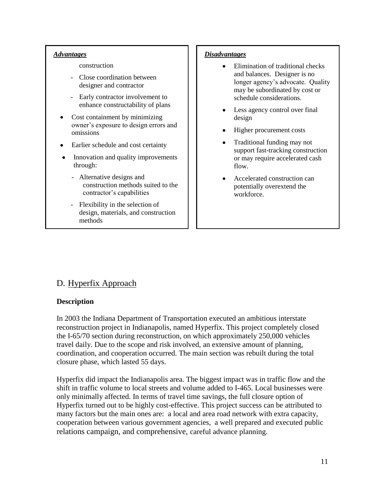#### construction

- Close coordination between designer and contractor
- Early contractor involvement to enhance constructability of plans
- $\bullet$ Cost containment by minimizing owner's exposure to design errors and omissions
- Earlier schedule and cost certainty
- Innovation and quality improvements through:
	- Alternative designs and construction methods suited to the contractor's capabilities
	- Flexibility in the selection of design, materials, and construction methods

#### *Advantages Disadvantages*

- $\bullet$ Elimination of traditional checks and balances. Designer is no longer agency's advocate. Quality may be subordinated by cost or schedule considerations.
- $\bullet$ Less agency control over final design
- Higher procurement costs  $\bullet$
- Traditional funding may not  $\bullet$ support fast-tracking construction or may require accelerated cash flow.
- Accelerated construction can potentially overextend the workforce.

# D. Hyperfix Approach

### **Description**

In 2003 the Indiana Department of Transportation executed an ambitious interstate reconstruction project in Indianapolis, named Hyperfix. This project completely closed the I-65/70 section during reconstruction, on which approximately 250,000 vehicles travel daily. Due to the scope and risk involved, an extensive amount of planning, coordination, and cooperation occurred. The main section was rebuilt during the total closure phase, which lasted 55 days.

Hyperfix did impact the Indianapolis area. The biggest impact was in traffic flow and the shift in traffic volume to local streets and volume added to I-465. Local businesses were only minimally affected. In terms of travel time savings, the full closure option of Hyperfix turned out to be highly cost-effective. This project success can be attributed to many factors but the main ones are: a local and area road network with extra capacity, cooperation between various government agencies, a well prepared and executed public relations campaign, and comprehensive, careful advance planning.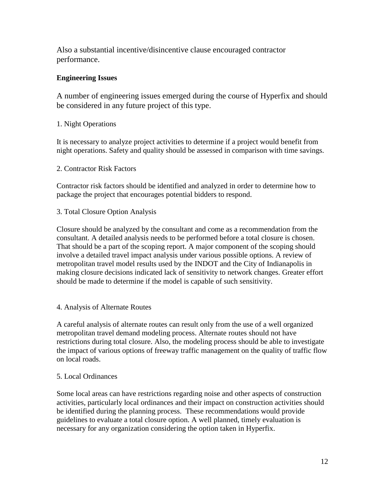Also a substantial incentive/disincentive clause encouraged contractor performance.

## **Engineering Issues**

A number of engineering issues emerged during the course of Hyperfix and should be considered in any future project of this type.

### 1. Night Operations

It is necessary to analyze project activities to determine if a project would benefit from night operations. Safety and quality should be assessed in comparison with time savings.

### 2. Contractor Risk Factors

Contractor risk factors should be identified and analyzed in order to determine how to package the project that encourages potential bidders to respond.

## 3. Total Closure Option Analysis

Closure should be analyzed by the consultant and come as a recommendation from the consultant. A detailed analysis needs to be performed before a total closure is chosen. That should be a part of the scoping report. A major component of the scoping should involve a detailed travel impact analysis under various possible options. A review of metropolitan travel model results used by the INDOT and the City of Indianapolis in making closure decisions indicated lack of sensitivity to network changes. Greater effort should be made to determine if the model is capable of such sensitivity.

### 4. Analysis of Alternate Routes

A careful analysis of alternate routes can result only from the use of a well organized metropolitan travel demand modeling process. Alternate routes should not have restrictions during total closure. Also, the modeling process should be able to investigate the impact of various options of freeway traffic management on the quality of traffic flow on local roads.

### 5. Local Ordinances

Some local areas can have restrictions regarding noise and other aspects of construction activities, particularly local ordinances and their impact on construction activities should be identified during the planning process. These recommendations would provide guidelines to evaluate a total closure option. A well planned, timely evaluation is necessary for any organization considering the option taken in Hyperfix.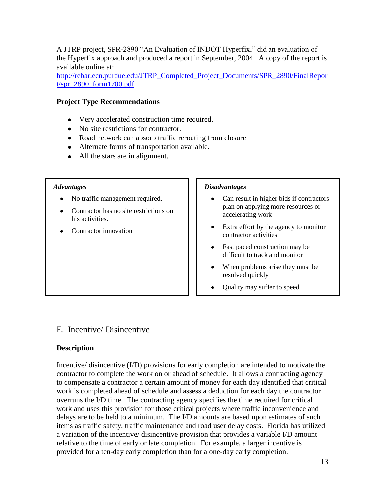A JTRP project, SPR-2890 "An Evaluation of INDOT Hyperfix," did an evaluation of the Hyperfix approach and produced a report in September, 2004. A copy of the report is available online at:

[http://rebar.ecn.purdue.edu/JTRP\\_Completed\\_Project\\_Documents/SPR\\_2890/FinalRepor](http://rebar.ecn.purdue.edu/JTRP_Completed_Project_Documents/SPR_2890/FinalReport/spr_2890_form1700.pdf) [t/spr\\_2890\\_form1700.pdf](http://rebar.ecn.purdue.edu/JTRP_Completed_Project_Documents/SPR_2890/FinalReport/spr_2890_form1700.pdf) 

### **Project Type Recommendations**

- Very accelerated construction time required.
- No site restrictions for contractor.
- Road network can absorb traffic rerouting from closure
- Alternate forms of transportation available.
- All the stars are in alignment.

- No traffic management required.
- Contractor has no site restrictions on his activities.
- Contractor innovation

#### *Advantages Disadvantages*

- Can result in higher bids if contractors plan on applying more resources or accelerating work
- Extra effort by the agency to monitor contractor activities
- Fast paced construction may be difficult to track and monitor
- When problems arise they must be resolved quickly
- Quality may suffer to speed  $\bullet$

# E. Incentive/ Disincentive

### **Description**

Incentive/ disincentive (I/D) provisions for early completion are intended to motivate the contractor to complete the work on or ahead of schedule. It allows a contracting agency to compensate a contractor a certain amount of money for each day identified that critical work is completed ahead of schedule and assess a deduction for each day the contractor overruns the I/D time. The contracting agency specifies the time required for critical work and uses this provision for those critical projects where traffic inconvenience and delays are to be held to a minimum. The I/D amounts are based upon estimates of such items as traffic safety, traffic maintenance and road user delay costs. Florida has utilized a variation of the incentive/ disincentive provision that provides a variable I/D amount relative to the time of early or late completion. For example, a larger incentive is provided for a ten-day early completion than for a one-day early completion.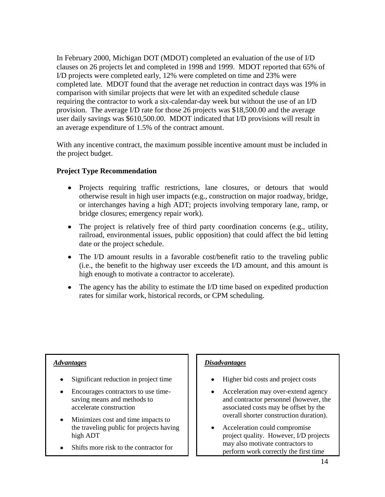In February 2000, Michigan DOT (MDOT) completed an evaluation of the use of I/D clauses on 26 projects let and completed in 1998 and 1999. MDOT reported that 65% of I/D projects were completed early, 12% were completed on time and 23% were completed late. MDOT found that the average net reduction in contract days was 19% in comparison with similar projects that were let with an expedited schedule clause requiring the contractor to work a six-calendar-day week but without the use of an I/D provision. The average I/D rate for those 26 projects was \$18,500.00 and the average user daily savings was \$610,500.00. MDOT indicated that I/D provisions will result in an average expenditure of 1.5% of the contract amount.

With any incentive contract, the maximum possible incentive amount must be included in the project budget.

## **Project Type Recommendation**

- Projects requiring traffic restrictions, lane closures, or detours that would otherwise result in high user impacts (e.g., construction on major roadway, bridge, or interchanges having a high ADT; projects involving temporary lane, ramp, or bridge closures; emergency repair work).
- The project is relatively free of third party coordination concerns (e.g., utility, railroad, environmental issues, public opposition) that could affect the bid letting date or the project schedule.
- The I/D amount results in a favorable cost/benefit ratio to the traveling public (i.e., the benefit to the highway user exceeds the I/D amount, and this amount is high enough to motivate a contractor to accelerate).
- The agency has the ability to estimate the I/D time based on expedited production rates for similar work, historical records, or CPM scheduling.

- Significant reduction in project time
- Encourages contractors to use timesaving means and methods to accelerate construction
- Minimizes cost and time impacts to the traveling public for projects having high ADT
- Shifts more risk to the contractor for

### *Advantages Disadvantages*

- Higher bid costs and project costs  $\bullet$
- Acceleration may over-extend agency and contractor personnel (however, the associated costs may be offset by the overall shorter construction duration).
- $\bullet$ Acceleration could compromise project quality. However, I/D projects may also motivate contractors to perform work correctly the first time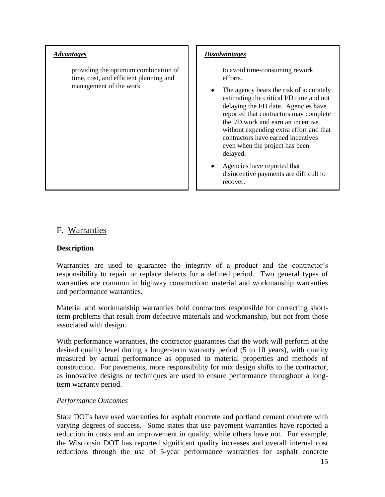providing the optimum combination of time, cost, and efficient planning and management of the work

#### *Advantages Disadvantages*

to avoid time-consuming rework efforts.

- The agency bears the risk of accurately estimating the critical I/D time and not delaying the I/D date. Agencies have reported that contractors may complete the I/D work and earn an incentive without expending extra effort and that contractors have earned incentives even when the project has been delayed.
- Agencies have reported that disincentive payments are difficult to recover.

## F. Warranties

### **Description**

Warranties are used to guarantee the integrity of a product and the contractor's responsibility to repair or replace defects for a defined period. Two general types of warranties are common in highway construction: material and workmanship warranties and performance warranties.

Material and workmanship warranties hold contractors responsible for correcting shortterm problems that result from defective materials and workmanship, but not from those associated with design.

With performance warranties, the contractor guarantees that the work will perform at the desired quality level during a longer-term warranty period (5 to 10 years), with quality measured by actual performance as opposed to material properties and methods of construction. For pavements, more responsibility for mix design shifts to the contractor, as innovative designs or techniques are used to ensure performance throughout a longterm warranty period.

#### *Performance Outcomes*

State DOTs have used warranties for asphalt concrete and portland cement concrete with varying degrees of success. Some states that use pavement warranties have reported a reduction in costs and an improvement in quality, while others have not. For example, the Wisconsin DOT has reported significant quality increases and overall internal cost reductions through the use of 5-year performance warranties for asphalt concrete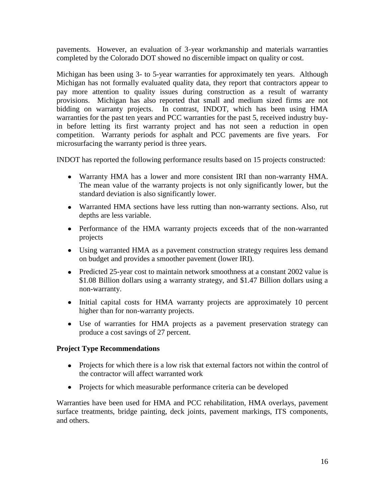pavements. However, an evaluation of 3-year workmanship and materials warranties completed by the Colorado DOT showed no discernible impact on quality or cost.

Michigan has been using 3- to 5-year warranties for approximately ten years. Although Michigan has not formally evaluated quality data, they report that contractors appear to pay more attention to quality issues during construction as a result of warranty provisions. Michigan has also reported that small and medium sized firms are not bidding on warranty projects. In contrast, INDOT, which has been using HMA warranties for the past ten years and PCC warranties for the past 5, received industry buyin before letting its first warranty project and has not seen a reduction in open competition. Warranty periods for asphalt and PCC pavements are five years. For microsurfacing the warranty period is three years.

INDOT has reported the following performance results based on 15 projects constructed:

- Warranty HMA has a lower and more consistent IRI than non-warranty HMA. The mean value of the warranty projects is not only significantly lower, but the standard deviation is also significantly lower.
- Warranted HMA sections have less rutting than non-warranty sections. Also, rut depths are less variable.
- Performance of the HMA warranty projects exceeds that of the non-warranted projects
- Using warranted HMA as a pavement construction strategy requires less demand on budget and provides a smoother pavement (lower IRI).
- Predicted 25-year cost to maintain network smoothness at a constant 2002 value is \$1.08 Billion dollars using a warranty strategy, and \$1.47 Billion dollars using a non-warranty.
- Initial capital costs for HMA warranty projects are approximately 10 percent higher than for non-warranty projects.
- Use of warranties for HMA projects as a pavement preservation strategy can produce a cost savings of 27 percent.

### **Project Type Recommendations**

- Projects for which there is a low risk that external factors not within the control of the contractor will affect warranted work
- Projects for which measurable performance criteria can be developed

Warranties have been used for HMA and PCC rehabilitation, HMA overlays, pavement surface treatments, bridge painting, deck joints, pavement markings, ITS components, and others.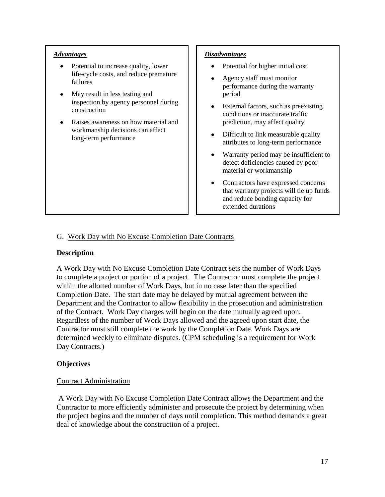- $\bullet$ Potential to increase quality, lower life-cycle costs, and reduce premature failures
- May result in less testing and inspection by agency personnel during construction
- Raises awareness on how material and workmanship decisions can affect long-term performance

#### *Advantages Disadvantages*

- Potential for higher initial cost
- Agency staff must monitor performance during the warranty period
- $\bullet$ External factors, such as preexisting conditions or inaccurate traffic prediction, may affect quality
- Difficult to link measurable quality attributes to long-term performance
- $\bullet$ Warranty period may be insufficient to detect deficiencies caused by poor material or workmanship
- Contractors have expressed concerns  $\bullet$ that warranty projects will tie up funds and reduce bonding capacity for extended durations

### G. Work Day with No Excuse Completion Date Contracts

### **Description**

A Work Day with No Excuse Completion Date Contract sets the number of Work Days to complete a project or portion of a project. The Contractor must complete the project within the allotted number of Work Days, but in no case later than the specified Completion Date. The start date may be delayed by mutual agreement between the Department and the Contractor to allow flexibility in the prosecution and administration of the Contract. Work Day charges will begin on the date mutually agreed upon. Regardless of the number of Work Days allowed and the agreed upon start date, the Contractor must still complete the work by the Completion Date. Work Days are determined weekly to eliminate disputes. (CPM scheduling is a requirement for Work Day Contracts.)

### **Objectives**

#### Contract Administration

A Work Day with No Excuse Completion Date Contract allows the Department and the Contractor to more efficiently administer and prosecute the project by determining when the project begins and the number of days until completion. This method demands a great deal of knowledge about the construction of a project.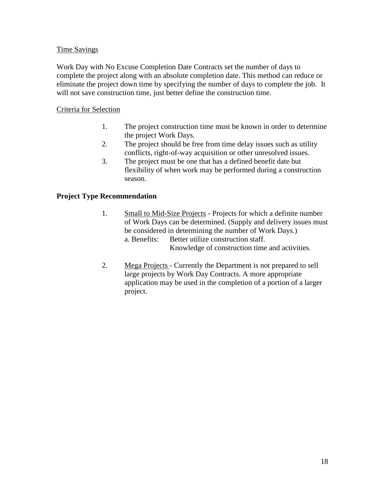#### Time Savings

Work Day with No Excuse Completion Date Contracts set the number of days to complete the project along with an absolute completion date. This method can reduce or eliminate the project down time by specifying the number of days to complete the job. It will not save construction time, just better define the construction time.

#### Criteria for Selection

- 1. The project construction time must be known in order to determine the project Work Days.
- 2. The project should be free from time delay issues such as utility conflicts, right-of-way acquisition or other unresolved issues.
- 3. The project must be one that has a defined benefit date but flexibility of when work may be performed during a construction season.

### **Project Type Recommendation**

- 1. Small to Mid-Size Projects Projects for which a definite number of Work Days can be determined. (Supply and delivery issues must be considered in determining the number of Work Days.) a. Benefits: Better utilize construction staff. Knowledge of construction time and activities.
- 2. Mega Projects Currently the Department is not prepared to sell large projects by Work Day Contracts. A more appropriate application may be used in the completion of a portion of a larger project.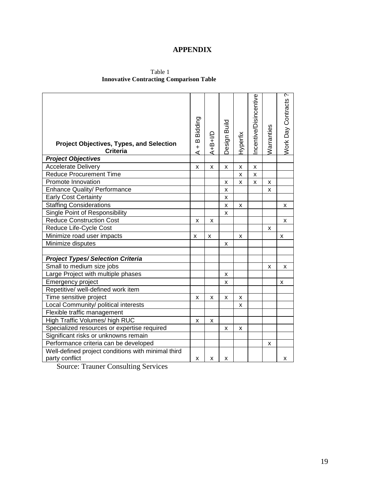# **APPENDIX**

 Table 1 **Innovative Contracting Comparison Table**

| <b>Project Objectives, Types, and Selection</b><br><b>Criteria</b> | B Bidding<br>$\ddot{\phantom{1}}$<br>⋖ | $A+B+ID$ | Design Build | Hyperfix | ncentive/Disincentive | Warranties | ç.<br><b>Work Day Contracts</b> |
|--------------------------------------------------------------------|----------------------------------------|----------|--------------|----------|-----------------------|------------|---------------------------------|
| <b>Project Objectives</b>                                          |                                        |          |              |          |                       |            |                                 |
| <b>Accelerate Delivery</b>                                         | x                                      | X        | x            | x        | x                     |            |                                 |
| <b>Reduce Procurement Time</b>                                     |                                        |          |              | x        | X                     |            |                                 |
| Promote Innovation                                                 |                                        |          | X            | x        | X                     | x          |                                 |
| <b>Enhance Quality/ Performance</b>                                |                                        |          | x            |          |                       | X          |                                 |
| <b>Early Cost Certainty</b>                                        |                                        |          | x            |          |                       |            |                                 |
| <b>Staffing Considerations</b>                                     |                                        |          | X            | x        |                       |            | x                               |
| Single Point of Responsibility                                     |                                        |          | X            |          |                       |            |                                 |
| <b>Reduce Construction Cost</b>                                    | x                                      | x        |              |          |                       |            | x                               |
| Reduce Life-Cycle Cost                                             |                                        |          |              |          |                       | x          |                                 |
| Minimize road user impacts                                         | x                                      | x        |              | x        |                       |            | x                               |
| Minimize disputes                                                  |                                        |          | X            |          |                       |            |                                 |
|                                                                    |                                        |          |              |          |                       |            |                                 |
| <b>Project Types/Selection Criteria</b>                            |                                        |          |              |          |                       |            |                                 |
| Small to medium size jobs                                          |                                        |          |              |          |                       | X          | X                               |
| Large Project with multiple phases                                 |                                        |          | X            |          |                       |            |                                 |
| Emergency project                                                  |                                        |          | x            |          |                       |            | x                               |
| Repetitive/ well-defined work item                                 |                                        |          |              |          |                       |            |                                 |
| Time sensitive project                                             | X                                      | x        | x            | x        |                       |            |                                 |
| Local Community/ political interests                               |                                        |          |              | x        |                       |            |                                 |
| Flexible traffic management                                        |                                        |          |              |          |                       |            |                                 |
| High Traffic Volumes/ high RUC                                     | x                                      | x        |              |          |                       |            |                                 |
| Specialized resources or expertise required                        |                                        |          | X            | x        |                       |            |                                 |
| Significant risks or unknowns remain                               |                                        |          |              |          |                       |            |                                 |
| Performance criteria can be developed                              |                                        |          |              |          |                       | x          |                                 |
| Well-defined project conditions with minimal third                 |                                        |          |              |          |                       |            |                                 |
| party conflict                                                     | X                                      | x        | x            |          |                       |            | x                               |

Source: Trauner Consulting Services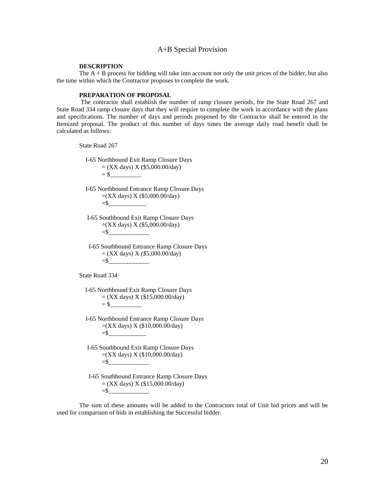#### A+B Special Provision

#### **DESCRIPTION**

The  $A + B$  process for bidding will take into account not only the unit prices of the bidder, but also the time within which the Contractor proposes to complete the work.

#### **PREPARATION OF PROPOSAL**

The contractor shall establish the number of ramp closure periods, for the State Road 267 and State Road 334 ramp closure days that they will require to complete the work in accordance with the plans and specifications. The number of days and periods proposed by the Contractor shall be entered in the Itemized proposal. The product of this number of days times the average daily road benefit shall be calculated as follows:

State Road 267

 I-65 Northbound Exit Ramp Closure Days  $=$  (XX days) X (\$5,000.00/day) = \$\_\_\_\_\_\_\_\_\_\_

 I-65 Northbound Entrance Ramp Closure Days =(XX days) X (\$5,000.00/day)  $=$ \$

 I-65 Southbound Exit Ramp Closure Days =(XX days) X (\$5,000.00/day)  $=$ \$

 I-65 Southbound Entrance Ramp Closure Days = (XX days) X *(\$*5,000.00/day)  $=$ \$

State Road 334

I-65 Northbound Exit Ramp Closure Days  $=$  (XX days) X (\$15,000.00/day)  $= $$ 

- I-65 Northbound Entrance Ramp Closure Days  $=(XX \text{ days}) X (10,000.00/\text{day})$ =\$\_\_\_\_\_\_\_\_\_\_\_\_
- I-65 Southbound Exit Ramp Closure Days  $=(XX \text{ days}) X (10,000.00/\text{day})$ =\$\_\_\_\_\_\_\_\_\_\_\_\_\_
- I-65 Southbound Entrance Ramp Closure Days  $=$  (XX days) X (\$15,000.00/day)  $=$ \$

The sum of these amounts will be added to the Contractors total of Unit bid prices and will be used for comparison of bids in establishing the Successful bidder.